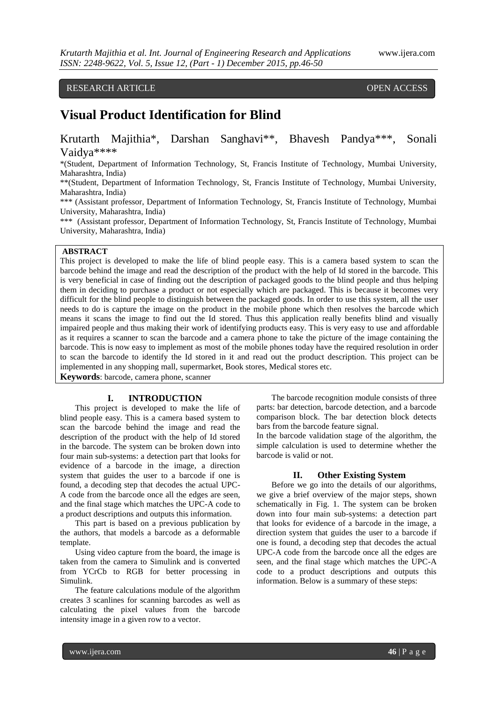# RESEARCH ARTICLE OPEN ACCESS

# **Visual Product Identification for Blind**

Krutarth Majithia\*, Darshan Sanghavi\*\*, Bhavesh Pandya\*\*\*, Sonali Vaidya\*\*\*\*

\*(Student, Department of Information Technology, St, Francis Institute of Technology, Mumbai University, Maharashtra, India)

\*\*(Student, Department of Information Technology, St, Francis Institute of Technology, Mumbai University, Maharashtra, India)

\*\*\* (Assistant professor, Department of Information Technology, St, Francis Institute of Technology, Mumbai University, Maharashtra, India)

\*\*\* (Assistant professor, Department of Information Technology, St, Francis Institute of Technology, Mumbai University, Maharashtra, India)

## **ABSTRACT**

This project is developed to make the life of blind people easy. This is a camera based system to scan the barcode behind the image and read the description of the product with the help of Id stored in the barcode. This is very beneficial in case of finding out the description of packaged goods to the blind people and thus helping them in deciding to purchase a product or not especially which are packaged. This is because it becomes very difficult for the blind people to distinguish between the packaged goods. In order to use this system, all the user needs to do is capture the image on the product in the mobile phone which then resolves the barcode which means it scans the image to find out the Id stored. Thus this application really benefits blind and visually impaired people and thus making their work of identifying products easy. This is very easy to use and affordable as it requires a scanner to scan the barcode and a camera phone to take the picture of the image containing the barcode. This is now easy to implement as most of the mobile phones today have the required resolution in order to scan the barcode to identify the Id stored in it and read out the product description. This project can be implemented in any shopping mall, supermarket, Book stores, Medical stores etc.

**Keywords**: barcode, camera phone, scanner

#### **I. INTRODUCTION**

This project is developed to make the life of blind people easy. This is a camera based system to scan the barcode behind the image and read the description of the product with the help of Id stored in the barcode. The system can be broken down into four main sub-systems: a detection part that looks for evidence of a barcode in the image, a direction system that guides the user to a barcode if one is found, a decoding step that decodes the actual UPC-A code from the barcode once all the edges are seen, and the final stage which matches the UPC-A code to a product descriptions and outputs this information.

This part is based on a previous publication by the authors, that models a barcode as a deformable template.

Using video capture from the board, the image is taken from the camera to Simulink and is converted from YCrCb to RGB for better processing in Simulink.

The feature calculations module of the algorithm creates 3 scanlines for scanning barcodes as well as calculating the pixel values from the barcode intensity image in a given row to a vector.

The barcode recognition module consists of three parts: bar detection, barcode detection, and a barcode comparison block. The bar detection block detects bars from the barcode feature signal.

In the barcode validation stage of the algorithm, the simple calculation is used to determine whether the barcode is valid or not.

#### **II. Other Existing System**

Before we go into the details of our algorithms, we give a brief overview of the major steps, shown schematically in Fig. 1. The system can be broken down into four main sub-systems: a detection part that looks for evidence of a barcode in the image, a direction system that guides the user to a barcode if one is found, a decoding step that decodes the actual UPC-A code from the barcode once all the edges are seen, and the final stage which matches the UPC-A code to a product descriptions and outputs this information. Below is a summary of these steps: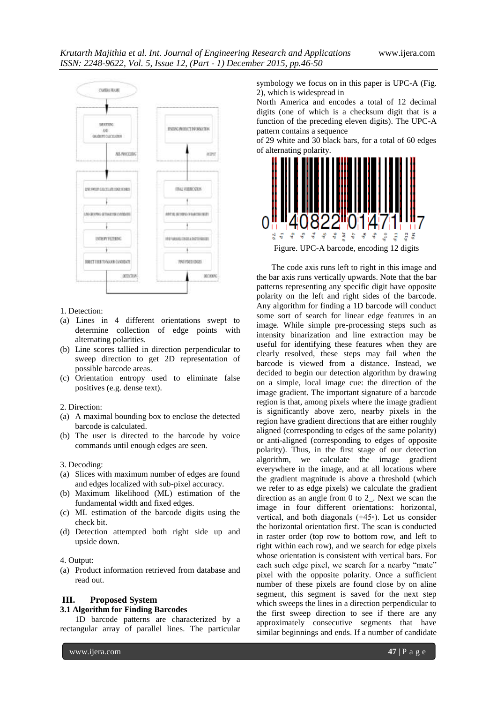

#### 1. Detection:

- (a) Lines in 4 different orientations swept to determine collection of edge points with alternating polarities.
- (b) Line scores tallied in direction perpendicular to sweep direction to get 2D representation of possible barcode areas.
- (c) Orientation entropy used to eliminate false positives (e.g. dense text).

#### 2. Direction:

- (a) A maximal bounding box to enclose the detected barcode is calculated.
- (b) The user is directed to the barcode by voice commands until enough edges are seen.

#### 3. Decoding:

- (a) Slices with maximum number of edges are found and edges localized with sub-pixel accuracy.
- (b) Maximum likelihood (ML) estimation of the fundamental width and fixed edges.
- (c) ML estimation of the barcode digits using the check bit.
- (d) Detection attempted both right side up and upside down.

#### 4. Output:

(a) Product information retrieved from database and read out.

#### **III. Proposed System 3.1 Algorithm for Finding Barcodes**

# 1D barcode patterns are characterized by a

rectangular array of parallel lines. The particular

symbology we focus on in this paper is UPC-A (Fig. 2), which is widespread in

North America and encodes a total of 12 decimal digits (one of which is a checksum digit that is a function of the preceding eleven digits). The UPC-A pattern contains a sequence

of 29 white and 30 black bars, for a total of 60 edges of alternating polarity.



The code axis runs left to right in this image and the bar axis runs vertically upwards. Note that the bar patterns representing any specific digit have opposite polarity on the left and right sides of the barcode. Any algorithm for finding a 1D barcode will conduct some sort of search for linear edge features in an image. While simple pre-processing steps such as intensity binarization and line extraction may be useful for identifying these features when they are clearly resolved, these steps may fail when the barcode is viewed from a distance. Instead, we decided to begin our detection algorithm by drawing on a simple, local image cue: the direction of the image gradient. The important signature of a barcode region is that, among pixels where the image gradient is significantly above zero, nearby pixels in the region have gradient directions that are either roughly aligned (corresponding to edges of the same polarity) or anti-aligned (corresponding to edges of opposite polarity). Thus, in the first stage of our detection algorithm, we calculate the image gradient everywhere in the image, and at all locations where the gradient magnitude is above a threshold (which we refer to as edge pixels) we calculate the gradient direction as an angle from 0 to 2\_. Next we scan the image in four different orientations: horizontal, vertical, and both diagonals  $(\pm 45\degree)$ . Let us consider the horizontal orientation first. The scan is conducted in raster order (top row to bottom row, and left to right within each row), and we search for edge pixels whose orientation is consistent with vertical bars. For each such edge pixel, we search for a nearby "mate" pixel with the opposite polarity. Once a sufficient number of these pixels are found close by on aline segment, this segment is saved for the next step which sweeps the lines in a direction perpendicular to the first sweep direction to see if there are any approximately consecutive segments that have similar beginnings and ends. If a number of candidate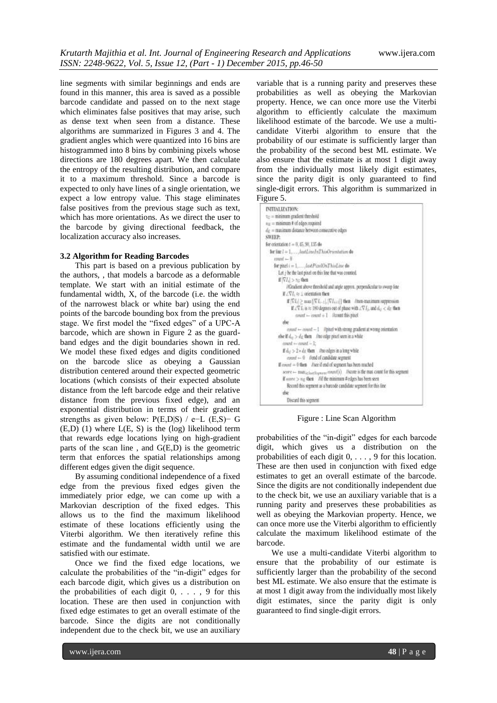line segments with similar beginnings and ends are found in this manner, this area is saved as a possible barcode candidate and passed on to the next stage which eliminates false positives that may arise, such as dense text when seen from a distance. These algorithms are summarized in Figures 3 and 4. The gradient angles which were quantized into 16 bins are histogrammed into 8 bins by combining pixels whose directions are 180 degrees apart. We then calculate the entropy of the resulting distribution, and compare it to a maximum threshold. Since a barcode is expected to only have lines of a single orientation, we expect a low entropy value. This stage eliminates false positives from the previous stage such as text, which has more orientations. As we direct the user to the barcode by giving directional feedback, the localization accuracy also increases.

#### **3.2 Algorithm for Reading Barcodes**

This part is based on a previous publication by the authors, , that models a barcode as a deformable template. We start with an initial estimate of the fundamental width, X, of the barcode (i.e. the width of the narrowest black or white bar) using the end points of the barcode bounding box from the previous stage. We first model the "fixed edges" of a UPC-A barcode, which are shown in Figure 2 as the guardband edges and the digit boundaries shown in red. We model these fixed edges and digits conditioned on the barcode slice as obeying a Gaussian distribution centered around their expected geometric locations (which consists of their expected absolute distance from the left barcode edge and their relative distance from the previous fixed edge), and an exponential distribution in terms of their gradient strengths as given below: P(E,D|S) / e−L (E,S)− G  $(E,D)$  (1) where  $L(E, S)$  is the (log) likelihood term that rewards edge locations lying on high-gradient parts of the scan line , and G(E,D) is the geometric term that enforces the spatial relationships among different edges given the digit sequence.

By assuming conditional independence of a fixed edge from the previous fixed edges given the immediately prior edge, we can come up with a Markovian description of the fixed edges. This allows us to the find the maximum likelihood estimate of these locations efficiently using the Viterbi algorithm. We then iteratively refine this estimate and the fundamental width until we are satisfied with our estimate.

Once we find the fixed edge locations, we calculate the probabilities of the "in-digit" edges for each barcode digit, which gives us a distribution on the probabilities of each digit  $0, \ldots, 9$  for this location. These are then used in conjunction with fixed edge estimates to get an overall estimate of the barcode. Since the digits are not conditionally independent due to the check bit, we use an auxiliary

variable that is a running parity and preserves these probabilities as well as obeying the Markovian property. Hence, we can once more use the Viterbi algorithm to efficiently calculate the maximum likelihood estimate of the barcode. We use a multicandidate Viterbi algorithm to ensure that the probability of our estimate is sufficiently larger than the probability of the second best ML estimate. We also ensure that the estimate is at most 1 digit away from the individually most likely digit estimates, since the parity digit is only guaranteed to find single-digit errors. This algorithm is summarized in Figure 5.

| <b>INITIALIZATION:</b>                                                                                             |  |
|--------------------------------------------------------------------------------------------------------------------|--|
| $\tau_C =$ minimum gradient threshold                                                                              |  |
| $v_{11} =$ meanum # of edges required                                                                              |  |
| $d_E =$ maximum distance between consecutive edges                                                                 |  |
| <b>SWEEP:</b>                                                                                                      |  |
| for orientation $t = 0.45, 90, 135$ the                                                                            |  |
| for ine l = 1,, lastLincInThisOrientation do                                                                       |  |
| rouxf $-1$                                                                                                         |  |
| for pitel i = 1,, lastPixelOnThisLine do                                                                           |  |
| Let j be the last pixel on this line that was counted.                                                             |  |
| If $\nabla I_0 > r_G$ then                                                                                         |  |
| //Gradient above threshold and angle approx, perpendicular to sweep line                                           |  |
| If $\angle \nabla L \approx 1$ orientation then                                                                    |  |
| If $ \nabla I_t  \geq \max\{ \nabla I_{t-1} ,  \nabla I_{t+1} \}$ then //non-traximum suppression                  |  |
| If $\angle \nabla I_1$ is $\approx 380$ degrees out of phase with $\angle \nabla I_1$ , and $d_{11} < d_{22}$ then |  |
| $count \leftarrow next + 1$ (levent this give)                                                                     |  |
| dw                                                                                                                 |  |
| $count \leftarrow count - 1$ (lipixel with strong gradient at wrong orientation)                                   |  |
| else if $d_{\alpha} > d_E$ then free edge pixel seen in a while                                                    |  |
| $count \leftarrow count - 1$ ;                                                                                     |  |
| If $d_{ij} > 2$ » de then Ano edges in a long while                                                                |  |
| $count \leftarrow 0$ //end of candidate segment                                                                    |  |
| If count = 0 then //see if end of segment has been muched                                                          |  |
| scove -- maxiclassSynon rount(i) . Decore is the max count for this segment                                        |  |
| if some > ng then fif the minimum #edges has been seen                                                             |  |
| Record this segment as a barcode candidate segment for this line                                                   |  |
| dar                                                                                                                |  |
| Discard the segment                                                                                                |  |

Figure : Line Scan Algorithm

probabilities of the "in-digit" edges for each barcode digit, which gives us a distribution on the probabilities of each digit 0, . . . , 9 for this location. These are then used in conjunction with fixed edge estimates to get an overall estimate of the barcode. Since the digits are not conditionally independent due to the check bit, we use an auxiliary variable that is a running parity and preserves these probabilities as well as obeying the Markovian property. Hence, we can once more use the Viterbi algorithm to efficiently calculate the maximum likelihood estimate of the barcode.

We use a multi-candidate Viterbi algorithm to ensure that the probability of our estimate is sufficiently larger than the probability of the second best ML estimate. We also ensure that the estimate is at most 1 digit away from the individually most likely digit estimates, since the parity digit is only guaranteed to find single-digit errors.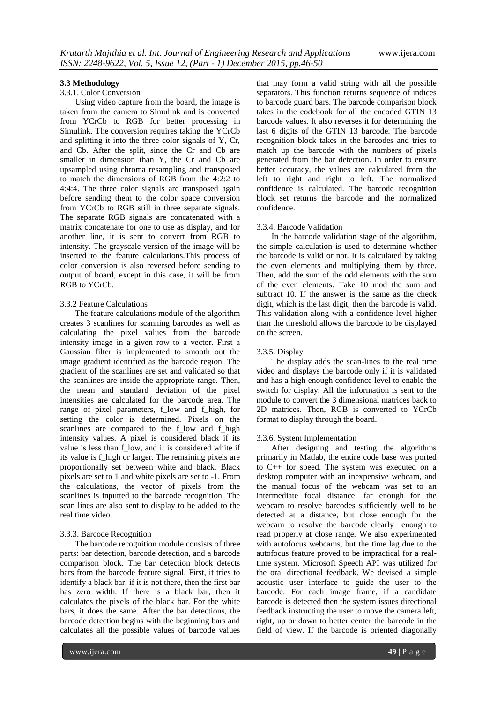### **3.3 Methodology**

## 3.3.1. Color Conversion

Using video capture from the board, the image is taken from the camera to Simulink and is converted from YCrCb to RGB for better processing in Simulink. The conversion requires taking the YCrCb and splitting it into the three color signals of Y, Cr, and Cb. After the split, since the Cr and Cb are smaller in dimension than Y, the Cr and Cb are upsampled using chroma resampling and transposed to match the dimensions of RGB from the 4:2:2 to 4:4:4. The three color signals are transposed again before sending them to the color space conversion from YCrCb to RGB still in three separate signals. The separate RGB signals are concatenated with a matrix concatenate for one to use as display, and for another line, it is sent to convert from RGB to intensity. The grayscale version of the image will be inserted to the feature calculations.This process of color conversion is also reversed before sending to output of board, except in this case, it will be from RGB to YCrCb.

#### 3.3.2 Feature Calculations

The feature calculations module of the algorithm creates 3 scanlines for scanning barcodes as well as calculating the pixel values from the barcode intensity image in a given row to a vector. First a Gaussian filter is implemented to smooth out the image gradient identified as the barcode region. The gradient of the scanlines are set and validated so that the scanlines are inside the appropriate range. Then, the mean and standard deviation of the pixel intensities are calculated for the barcode area. The range of pixel parameters, f\_low and f\_high, for setting the color is determined. Pixels on the scanlines are compared to the f low and f high intensity values. A pixel is considered black if its value is less than f low, and it is considered white if its value is f\_high or larger. The remaining pixels are proportionally set between white and black. Black pixels are set to 1 and white pixels are set to -1. From the calculations, the vector of pixels from the scanlines is inputted to the barcode recognition. The scan lines are also sent to display to be added to the real time video.

#### 3.3.3. Barcode Recognition

The barcode recognition module consists of three parts: bar detection, barcode detection, and a barcode comparison block. The bar detection block detects bars from the barcode feature signal. First, it tries to identify a black bar, if it is not there, then the first bar has zero width. If there is a black bar, then it calculates the pixels of the black bar. For the white bars, it does the same. After the bar detections, the barcode detection begins with the beginning bars and calculates all the possible values of barcode values

that may form a valid string with all the possible separators. This function returns sequence of indices to barcode guard bars. The barcode comparison block takes in the codebook for all the encoded GTIN 13 barcode values. It also reverses it for determining the last 6 digits of the GTIN 13 barcode. The barcode recognition block takes in the barcodes and tries to match up the barcode with the numbers of pixels generated from the bar detection. In order to ensure better accuracy, the values are calculated from the left to right and right to left. The normalized confidence is calculated. The barcode recognition block set returns the barcode and the normalized confidence.

#### 3.3.4. Barcode Validation

In the barcode validation stage of the algorithm, the simple calculation is used to determine whether the barcode is valid or not. It is calculated by taking the even elements and multiplying them by three. Then, add the sum of the odd elements with the sum of the even elements. Take 10 mod the sum and subtract 10. If the answer is the same as the check digit, which is the last digit, then the barcode is valid. This validation along with a confidence level higher than the threshold allows the barcode to be displayed on the screen.

#### 3.3.5. Display

The display adds the scan-lines to the real time video and displays the barcode only if it is validated and has a high enough confidence level to enable the switch for display. All the information is sent to the module to convert the 3 dimensional matrices back to 2D matrices. Then, RGB is converted to YCrCb format to display through the board.

#### 3.3.6. System Implementation

After designing and testing the algorithms primarily in Matlab, the entire code base was ported to C++ for speed. The system was executed on a desktop computer with an inexpensive webcam, and the manual focus of the webcam was set to an intermediate focal distance: far enough for the webcam to resolve barcodes sufficiently well to be detected at a distance, but close enough for the webcam to resolve the barcode clearly enough to read properly at close range. We also experimented with autofocus webcams, but the time lag due to the autofocus feature proved to be impractical for a realtime system. Microsoft Speech API was utilized for the oral directional feedback. We devised a simple acoustic user interface to guide the user to the barcode. For each image frame, if a candidate barcode is detected then the system issues directional feedback instructing the user to move the camera left, right, up or down to better center the barcode in the field of view. If the barcode is oriented diagonally